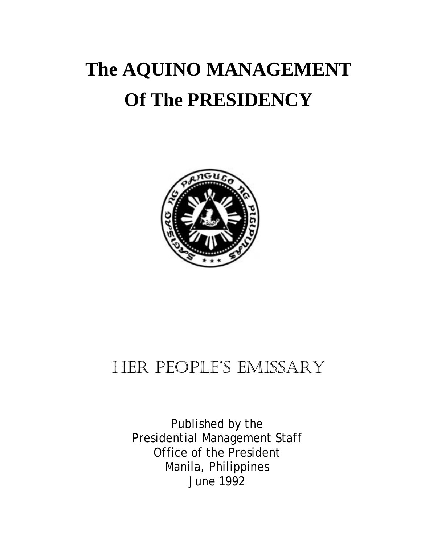# **The AQUINO MANAGEMENT Of The PRESIDENCY**



# HER PEOPLE'S EMISSARY

Published by the Presidential Management Staff Office of the President Manila, Philippines June 1992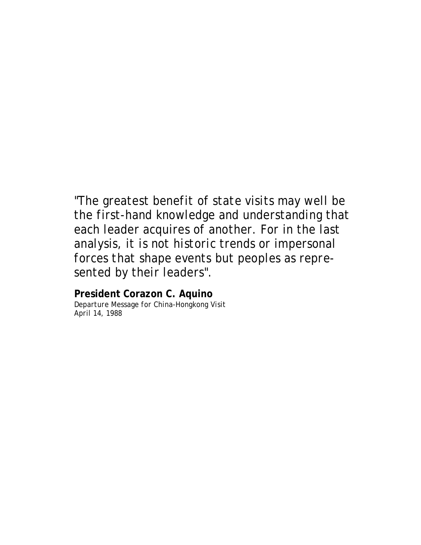*"The greatest benefit of state visits may well be the first-hand knowledge and understanding that each leader acquires of another. For in the last analysis, it is not historic trends or impersonal forces that shape events but peoples as represented by their leaders".* 

#### **President Corazon C. Aquino**

*Departure Message for China-Hongkong Visit April 14, 1988*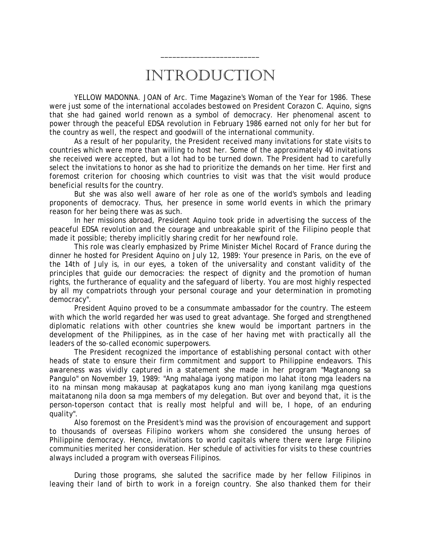## INTRODUCTION

\_\_\_\_\_\_\_\_\_\_\_\_\_\_\_\_\_\_\_\_\_\_\_\_\_

YELLOW MADONNA. JOAN of Arc. Time Magazine's Woman of the Year for 1986. These were just some of the international accolades bestowed on President Corazon C. Aquino, signs that she had gained world renown as a symbol of democracy. Her phenomenal ascent to power through the peaceful EDSA revolution in February 1986 earned not only for her but for the country as well, the respect and goodwill of the international community.

As a result of her popularity, the President received many invitations for state visits to countries which were more than willing to host her. Some of the approximately 40 invitations she received were accepted, but a lot had to be turned down. The President had to carefully select the invitations to honor as she had to prioritize the demands on her time. Her first and foremost criterion for choosing which countries to visit was that the visit would produce beneficial results for the country.

But she was also well aware of her role as one of the world's symbols and leading proponents of democracy. Thus, her presence in some world events in which the primary reason for her being there was as such.

In her missions abroad, President Aquino took pride in advertising the success of the peaceful EDSA revolution and the courage and unbreakable spirit of the Filipino people that made it possible; thereby implicitly sharing credit for her newfound role.

This role was clearly emphasized by Prime Minister Michel Rocard of France during the dinner he hosted for President Aquino on July 12, 1989: Your presence in Paris, on the eve of the 14th of July is, in our eyes, a token of the universality and constant validity of the principles that guide our democracies: the respect of dignity and the promotion of human rights, the furtherance of equality and the safeguard of liberty. You are most highly respected by all my compatriots through your personal courage and your determination in promoting democracy".

President Aquino proved to be a consummate ambassador for the country. The esteem with which the world regarded her was used to great advantage. She forged and strengthened diplomatic relations with other countries she knew would be important partners in the development of the Philippines, as in the case of her having met with practically all the leaders of the so-called economic superpowers.

The President recognized the importance of establishing personal contact with other heads of state to ensure their firm commitment and support to Philippine endeavors. This awareness was vividly captured in a statement she made in her program "Magtanong sa Pangulo" on November 19, 1989: "Ang mahalaga iyong matipon mo lahat itong mga leaders na ito na minsan mong makausap at pagkatapos kung ano man iyong kanilang mga questions maitatanong nila doon sa mga members of my delegation. But over and beyond that, it is the person-toperson contact that is really most helpful and will be, I hope, of an enduring quality".

Also foremost on the President's mind was the provision of encouragement and support to thousands of overseas Filipino workers whom she considered the unsung heroes of Philippine democracy. Hence, invitations to world capitals where there were large Filipino communities merited her consideration. Her schedule of activities for visits to these countries always included a program with overseas Filipinos.

During those programs, she saluted the sacrifice made by her fellow Filipinos in leaving their land of birth to work in a foreign country. She also thanked them for their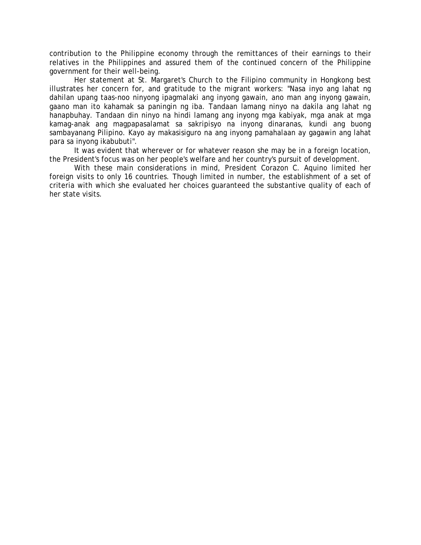contribution to the Philippine economy through the remittances of their earnings to their relatives in the Philippines and assured them of the continued concern of the Philippine government for their well-being.

Her statement at St. Margaret's Church to the Filipino community in Hongkong best illustrates her concern for, and gratitude to the migrant workers: "Nasa inyo ang lahat ng dahilan upang taas-noo ninyong ipagmalaki ang inyong gawain, ano man ang inyong gawain, gaano man ito kahamak sa paningin ng iba. Tandaan lamang ninyo na dakila ang lahat ng hanapbuhay. Tandaan din ninyo na hindi lamang ang inyong mga kabiyak, mga anak at mga kamag-anak ang magpapasalamat sa sakripisyo na inyong dinaranas, kundi ang buong sambayanang Pilipino. Kayo ay makasisiguro na ang inyong pamahalaan ay gagawin ang lahat para sa inyong ikabubuti".

It was evident that wherever or for whatever reason she may be in a foreign location, the President's focus was on her people's welfare and her country's pursuit of development.

With these main considerations in mind, President Corazon C. Aquino limited her foreign visits to only 16 countries. Though limited in number, the establishment of a set of criteria with which she evaluated her choices guaranteed the substantive quality of each of her state visits.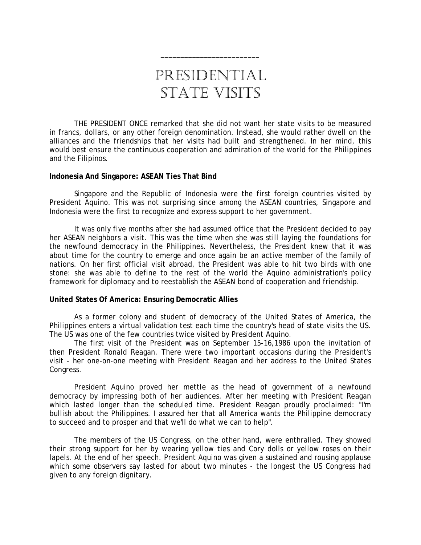# PRESIDENTIAL STATE VISITS

\_\_\_\_\_\_\_\_\_\_\_\_\_\_\_\_\_\_\_\_\_\_\_\_\_

THE PRESIDENT ONCE remarked that she did not want her state visits to be measured in francs, dollars, or any other foreign denomination. Instead, she would rather dwell on the alliances and the friendships that her visits had built and strengthened. In her mind, this would best ensure the continuous cooperation and admiration of the world for the Philippines and the Filipinos.

#### **Indonesia And Singapore: ASEAN Ties That Bind**

Singapore and the Republic of Indonesia were the first foreign countries visited by President Aquino. This was not surprising since among the ASEAN countries, Singapore and Indonesia were the first to recognize and express support to her government.

It was only five months after she had assumed office that the President decided to pay her ASEAN neighbors a visit. This was the time when she was still laying the foundations for the newfound democracy in the Philippines. Nevertheless, the President knew that it was about time for the country to emerge and once again be an active member of the family of nations. On her first official visit abroad, the President was able to hit two birds with one stone: she was able to define to the rest of the world the Aquino administration's policy framework for diplomacy and to reestablish the ASEAN bond of cooperation and friendship.

#### **United States Of America: Ensuring Democratic Allies**

As a former colony and student of democracy of the United States of America, the Philippines enters a virtual validation test each time the country's head of state visits the US. The US was one of the few countries twice visited by President Aquino.

The first visit of the President was on September 15-16,1986 upon the invitation of then President Ronald Reagan. There were two important occasions during the President's visit - her one-on-one meeting with President Reagan and her address to the United States Congress.

President Aquino proved her mettle as the head of government of a newfound democracy by impressing both of her audiences. After her meeting with President Reagan which lasted longer than the scheduled time. President Reagan proudly proclaimed: "I'm bullish about the Philippines. I assured her that all America wants the Philippine democracy to succeed and to prosper and that we'll do what we can to help".

The members of the US Congress, on the other hand, were enthralled. They showed their strong support for her by wearing yellow ties and Cory dolls or yellow roses on their lapels. At the end of her speech. President Aquino was given a sustained and rousing applause which some observers say lasted for about two minutes - the longest the US Congress had given to any foreign dignitary.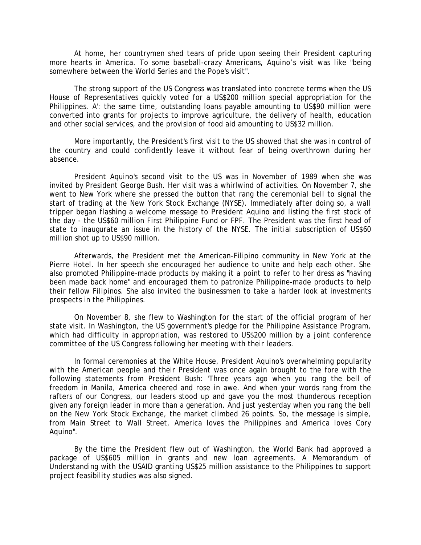At home, her countrymen shed tears of pride upon seeing their President capturing more hearts in America. To some baseball-crazy Americans, Aquino's visit was like "being somewhere between the World Series and the Pope's visit".

The strong support of the US Congress was translated into concrete terms when the US House of Representatives quickly voted for a US\$200 million special appropriation for the Philippines. A': the same time, outstanding loans payable amounting to US\$90 million were converted into grants for projects to improve agriculture, the delivery of health, education and other social services, and the provision of food aid amounting to US\$32 million.

More importantly, the President's first visit to the US showed that she was in control of the country and could confidently leave it without fear of being overthrown during her absence.

President Aquino's second visit to the US was in November of 1989 when she was invited by President George Bush. Her visit was a whirlwind of activities. On November 7, she went to New York where she pressed the button that rang the ceremonial bell to signal the start of trading at the New York Stock Exchange (NYSE). Immediately after doing so, a wall tripper began flashing a welcome message to President Aquino and listing the first stock of the day - the US\$60 million First Philippine Fund or FPF. The President was the first head of state to inaugurate an issue in the history of the NYSE. The initial subscription of US\$60 million shot up to US\$90 million.

Afterwards, the President met the American-Filipino community in New York at the Pierre Hotel. In her speech she encouraged her audience to unite and help each other. She also promoted Philippine-made products by making it a point to refer to her dress as "having been made back home" and encouraged them to patronize Philippine-made products to help their fellow Filipinos. She also invited the businessmen to take a harder look at investments prospects in the Philippines.

On November 8, she flew to Washington for the start of the official program of her state visit. In Washington, the US government's pledge for the Philippine Assistance Program, which had difficulty in appropriation, was restored to US\$200 million by a joint conference committee of the US Congress following her meeting with their leaders.

In formal ceremonies at the White House, President Aquino's overwhelming popularity with the American people and their President was once again brought to the fore with the following statements from President Bush: 'Three years ago when you rang the bell of freedom in Manila, America cheered and rose in awe. And when your words rang from the rafters of our Congress, our leaders stood up and gave you the most thunderous reception given any foreign leader in more than a generation. And just yesterday when you rang the bell on the New York Stock Exchange, the market climbed 26 points. So, the message is simple, from Main Street to Wall Street, America loves the Philippines and America loves Cory Aquino".

By the time the President flew out of Washington, the World Bank had approved a package of US\$605 million in grants and new loan agreements. A Memorandum of Understanding with the USAID granting US\$25 million assistance to the Philippines to support project feasibility studies was also signed.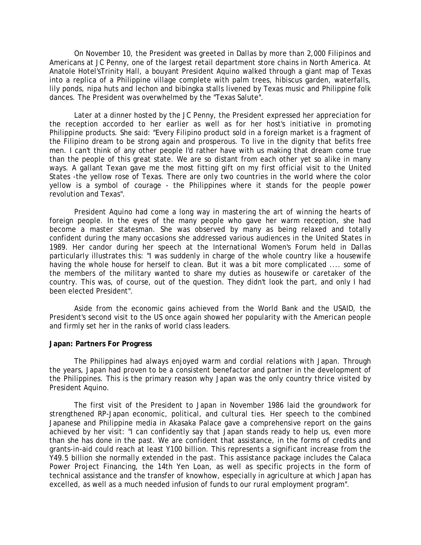On November 10, the President was greeted in Dallas by more than 2,000 Filipinos and Americans at JC Penny, one of the largest retail department store chains in North America. At Anatole Hotel'sTrinity Hall, a bouyant President Aquino walked through a giant map of Texas into a replica of a Philippine village complete with palm trees, hibiscus garden, waterfalls, lily ponds, nipa huts and lechon and bibingka stalls livened by Texas music and Philippine folk dances. The President was overwhelmed by the "Texas Salute".

Later at a dinner hosted by the JC Penny, the President expressed her appreciation for the reception accorded to her earlier as well as for her host's initiative in promoting Philippine products. She said: "Every Filipino product sold in a foreign market is a fragment of the Filipino dream to be strong again and prosperous. To live in the dignity that befits free men. I can't think of any other people I'd rather have with us making that dream come true than the people of this great state. We are so distant from each other yet so alike in many ways. A gallant Texan gave me the most fitting gift on my first official visit to the United States -the yellow rose of Texas. There are only two countries in the world where the color yellow is a symbol of courage - the Philippines where it stands for the people power revolution and Texas".

President Aquino had come a long way in mastering the art of winning the hearts of foreign people. In the eyes of the many people who gave her warm reception, she had become a master statesman. She was observed by many as being relaxed and totally confident during the many occasions she addressed various audiences in the United States in 1989. Her candor during her speech at the International Women's Forum held in Dallas particularly illustrates this: "I was suddenly in charge of the whole country like a housewife having the whole house for herself to clean. But it was a bit more complicated .... some of the members of the military wanted to share my duties as housewife or caretaker of the country. This was, of course, out of the question. They didn't look the part, and only I had been elected President".

Aside from the economic gains achieved from the World Bank and the USAID, the President's second visit to the US once again showed her popularity with the American people and firmly set her in the ranks of world class leaders.

#### **Japan: Partners For Progress**

The Philippines had always enjoyed warm and cordial relations with Japan. Through the years, Japan had proven to be a consistent benefactor and partner in the development of the Philippines. This is the primary reason why Japan was the only country thrice visited by President Aquino.

The first visit of the President to Japan in November 1986 laid the groundwork for strengthened RP-Japan economic, political, and cultural ties. Her speech to the combined Japanese and Philippine media in Akasaka Palace gave a comprehensive report on the gains achieved by her visit: "I can confidently say that Japan stands ready to help us, even more than she has done in the past. We are confident that assistance, in the forms of credits and grants-in-aid could reach at least Y100 billion. This represents a significant increase from the Y49.5 billion she normally extended in the past. This assistance package includes the Calaca Power Project Financing, the 14th Yen Loan, as well as specific projects in the form of technical assistance and the transfer of knowhow, especially in agriculture at which Japan has excelled, as well as a much needed infusion of funds to our rural employment program".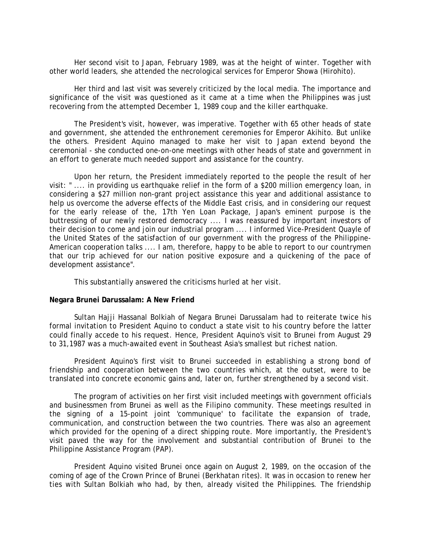Her second visit to Japan, February 1989, was at the height of winter. Together with other world leaders, she attended the necrological services for Emperor Showa (Hirohito).

Her third and last visit was severely criticized by the local media. The importance and significance of the visit was questioned as it came at a time when the Philippines was just recovering from the attempted December 1, 1989 coup and the killer earthquake.

The President's visit, however, was imperative. Together with 65 other heads of state and government, she attended the enthronement ceremonies for Emperor Akihito. But unlike the others. President Aquino managed to make her visit to Japan extend beyond the ceremonial - she conducted one-on-one meetings with other heads of state and government in an effort to generate much needed support and assistance for the country.

Upon her return, the President immediately reported to the people the result of her visit: " .... in providing us earthquake relief in the form of a \$200 million emergency loan, in considering a \$27 million non-grant project assistance this year and additional assistance to help us overcome the adverse effects of the Middle East crisis, and in considering our request for the early release of the, 17th Yen Loan Package, Japan's eminent purpose is the buttressing of our newly restored democracy .... I was reassured by important investors of their decision to come and join our industrial program .... I informed Vice-President Quayle of the United States of the satisfaction of our government with the progress of the Philippine-American cooperation talks .... I am, therefore, happy to be able to report to our countrymen that our trip achieved for our nation positive exposure and a quickening of the pace of development assistance".

This substantially answered the criticisms hurled at her visit.

#### **Negara Brunei Darussalam: A New Friend**

Sultan Hajji Hassanal Bolkiah of Negara Brunei Darussalam had to reiterate twice his formal invitation to President Aquino to conduct a state visit to his country before the latter could finally accede to his request. Hence, President Aquino's visit to Brunei from August 29 to 31,1987 was a much-awaited event in Southeast Asia's smallest but richest nation.

President Aquino's first visit to Brunei succeeded in establishing a strong bond of friendship and cooperation between the two countries which, at the outset, were to be translated into concrete economic gains and, later on, further strengthened by a second visit.

The program of activities on her first visit included meetings with government officials and businessmen from Brunei as well as the Filipino community. These meetings resulted in the signing of a 15-point joint 'communique' to facilitate the expansion of trade, communication, and construction between the two countries. There was also an agreement which provided for the opening of a direct shipping route. More importantly, the President's visit paved the way for the involvement and substantial contribution of Brunei to the Philippine Assistance Program (PAP).

President Aquino visited Brunei once again on August 2, 1989, on the occasion of the coming of age of the Crown Prince of Brunei (Berkhatan rites). It was in occasion to renew her ties with Sultan Bolkiah who had, by then, already visited the Philippines. The friendship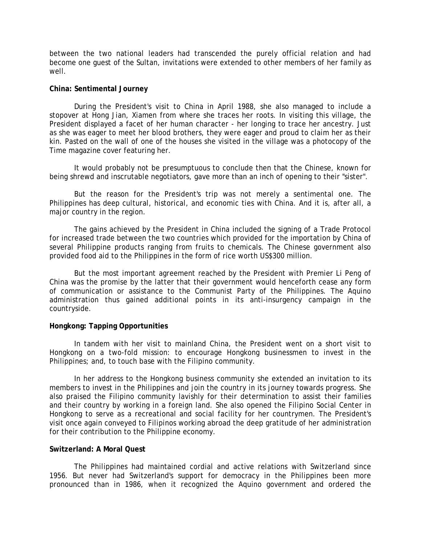between the two national leaders had transcended the purely official relation and had become one guest of the Sultan, invitations were extended to other members of her family as well.

#### **China: Sentimental Journey**

During the President's visit to China in April 1988, she also managed to include a stopover at Hong Jian, Xiamen from where she traces her roots. In visiting this village, the President displayed a facet of her human character - her longing to trace her ancestry. Just as she was eager to meet her blood brothers, they were eager and proud to claim her as their kin. Pasted on the wall of one of the houses she visited in the village was a photocopy of the Time magazine cover featuring her.

It would probably not be presumptuous to conclude then that the Chinese, known for being shrewd and inscrutable negotiators, gave more than an inch of opening to their "sister".

But the reason for the President's trip was not merely a sentimental one. The Philippines has deep cultural, historical, and economic ties with China. And it is, after all, a major country in the region.

The gains achieved by the President in China included the signing of a Trade Protocol for increased trade between the two countries which provided for the importation by China of several Philippine products ranging from fruits to chemicals. The Chinese government also provided food aid to the Philippines in the form of rice worth US\$300 million.

But the most important agreement reached by the President with Premier Li Peng of China was the promise by the latter that their government would henceforth cease any form of communication or assistance to the Communist Party of the Philippines. The Aquino administration thus gained additional points in its anti-insurgency campaign in the countryside.

#### **Hongkong: Tapping Opportunities**

In tandem with her visit to mainland China, the President went on a short visit to Hongkong on a two-fold mission: to encourage Hongkong businessmen to invest in the Philippines; and, to touch base with the Filipino community.

In her address to the Hongkong business community she extended an invitation to its members to invest in the Philippines and join the country in its journey towards progress. She also praised the Filipino community lavishly for their determination to assist their families and their country by working in a foreign land. She also opened the Filipino Social Center in Hongkong to serve as a recreational and social facility for her countrymen. The President's visit once again conveyed to Filipinos working abroad the deep gratitude of her administration for their contribution to the Philippine economy.

#### **Switzerland: A Moral Quest**

The Philippines had maintained cordial and active relations with Switzerland since 1956. But never had Switzerland's support for democracy in the Philippines been more pronounced than in 1986, when it recognized the Aquino government and ordered the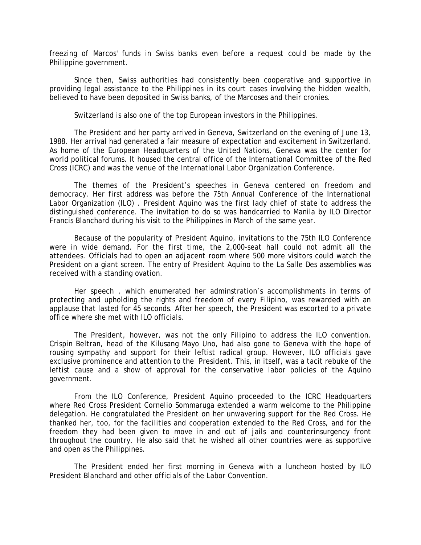freezing of Marcos' funds in Swiss banks even before a request could be made by the Philippine government.

Since then, Swiss authorities had consistently been cooperative and supportive in providing legal assistance to the Philippines in its court cases involving the hidden wealth, believed to have been deposited in Swiss banks, of the Marcoses and their cronies.

Switzerland is also one of the top European investors in the Philippines.

The President and her party arrived in Geneva, Switzerland on the evening of June 13, 1988. Her arrival had generated a fair measure of expectation and excitement in Switzerland. As home of the European Headquarters of the United Nations, Geneva was the center for world political forums. It housed the central office of the International Committee of the Red Cross (ICRC) and was the venue of the International Labor Organization Conference.

The themes of the President's speeches in Geneva centered on freedom and democracy. Her first address was before the 75th Annual Conference of the International Labor Organization (ILO) . President Aquino was the first lady chief of state to address the distinguished conference. The invitation to do so was handcarried to Manila by ILO Director Francis Blanchard during his visit to the Philippines in March of the same year.

Because of the popularity of President Aquino, invitations to the 75th ILO Conference were in wide demand. For the first time, the 2,000-seat hall could not admit all the attendees. Officials had to open an adjacent room where 500 more visitors could watch the President on a giant screen. The entry of President Aquino to the La Salle Des assemblies was received with a standing ovation.

Her speech , which enumerated her adminstration's accomplishments in terms of protecting and upholding the rights and freedom of every Filipino, was rewarded with an applause that lasted for 45 seconds. After her speech, the President was escorted to a private office where she met with ILO officials.

The President, however, was not the only Filipino to address the ILO convention. Crispin Beltran, head of the Kilusang Mayo Uno, had also gone to Geneva with the hope of rousing sympathy and support for their leftist radical group. However, ILO officials gave exclusive prominence and attention to the President. This, in itself, was a tacit rebuke of the leftist cause and a show of approval for the conservative labor policies of the Aquino government.

From the ILO Conference, President Aquino proceeded to the ICRC Headquarters where Red Cross President Cornelio Sommaruga extended a warm welcome to the Philippine delegation. He congratulated the President on her unwavering support for the Red Cross. He thanked her, too, for the facilities and cooperation extended to the Red Cross, and for the freedom they had been given to move in and out of jails and counterinsurgency front throughout the country. He also said that he wished all other countries were as supportive and open as the Philippines.

The President ended her first morning in Geneva with a luncheon hosted by ILO President Blanchard and other officials of the Labor Convention.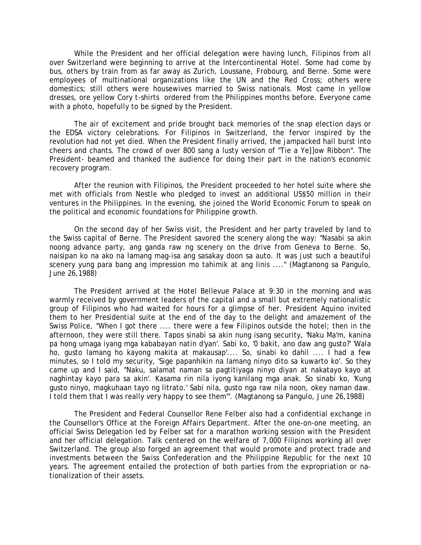While the President and her official delegation were having lunch, Filipinos from all over Switzerland were beginning to arrive at the Intercontinental Hotel. Some had come by bus, others by train from as far away as Zurich, Loussane, Frobourg, and Berne. Some were employees of multinational organizations like the UN and the Red Cross; others were domestics; still others were housewives married to Swiss nationals. Most came in yellow dresses, ore yellow Cory t-shirts ordered from the Philippines months before. Everyone came with a photo, hopefully to be signed by the President.

The air of excitement and pride brought back memories of the snap election days or the EDSA victory celebrations. For Filipinos in Switzerland, the fervor inspired by the revolution had not yet died. When the President finally arrived, the jampacked hall burst into cheers and chants. The crowd of over 800 sang a lusty version of "Tie a Ye]]ow Ribbon". The President- beamed and thanked the audience for doing their part in the nation's economic recovery program.

After the reunion with Filipinos, the President proceeded to her hotel suite where she met with officials from Nestle who pledged to invest an additional US\$50 million in their ventures in the Philippines. In the evening, she joined the World Economic Forum to speak on the political and economic foundations for Philippine growth.

On the second day of her Swiss visit, the President and her party traveled by land to the Swiss capital of Berne. The President savored the scenery along the way: "Nasabi sa akin noong advance party, ang ganda raw ng scenery on the drive from Geneva to Berne. So, naisipan ko na ako na lamang mag-isa ang sasakay doon sa auto. It was just such a beautiful scenery yung para bang ang impression mo tahimik at ang linis ...." (Magtanong sa Pangulo, June 26,1988)

The President arrived at the Hotel Bellevue Palace at 9:30 in the morning and was warmly received by government leaders of the capital and a small but extremely nationalistic group of Filipinos who had waited for hours for a glimpse of her. President Aquino invited them to her Presidential suite at the end of the day to the delight and amazement of the Swiss Police, "When I got there .... there were a few Filipinos outside the hotel; then in the afternoon, they were still there. Tapos sinabi sa akin nung isang security, 'Naku Ma'm, kanina pa hong umaga iyang mga kababayan natin d'yan'. Sabi ko, '0 bakit, ano daw ang gusto?' 'Wala ho, gusto lamang ho kayong makita at makausap'.... So, sinabi ko dahil .... I had a few minutes, so I told my security, 'Sige papanhikin na lamang ninyo dito sa kuwarto ko'. So they came up and I said, "Naku, salamat naman sa pagtitiyaga ninyo diyan at nakatayo kayo at naghintay kayo para sa akin'. Kasama rin nila iyong kanilang mga anak. So sinabi ko, 'Kung gusto ninyo, magkuhaan tayo ng litrato.' Sabi nila, gusto nga raw nila noon, okey naman daw. I told them that I was really very happy to see them'". (Magtanong sa Pangulo, June 26,1988)

The President and Federal Counsellor Rene Felber also had a confidential exchange in the Counsellor's Office at the Foreign Affairs Department. After the one-on-one meeting, an official Swiss Delegation led by Felber sat for a marathon working session with the President and her official delegation. Talk centered on the welfare of 7,000 Filipinos working all over Switzerland. The group also forged an agreement that would promote and protect trade and investments between the Swiss Confederation and the Philippine Republic for the next 10 years. The agreement entailed the protection of both parties from the expropriation or nationalization of their assets.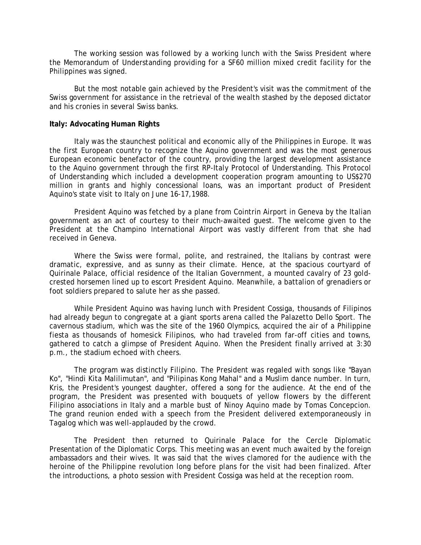The working session was followed by a working lunch with the Swiss President where the Memorandum of Understanding providing for a SF60 million mixed credit facility for the Philippines was signed.

But the most notable gain achieved by the President's visit was the commitment of the Swiss government for assistance in the retrieval of the wealth stashed by the deposed dictator and his cronies in several Swiss banks.

#### **Italy: Advocating Human Rights**

Italy was the staunchest political and economic ally of the Philippines in Europe. It was the first European country to recognize the Aquino government and was the most generous European economic benefactor of the country, providing the largest development assistance to the Aquino government through the first RP-Italy Protocol of Understanding. This Protocol of Understanding which included a development cooperation program amounting to US\$270 million in grants and highly concessional loans, was an important product of President Aquino's state visit to Italy on June 16-17,1988.

President Aquino was fetched by a plane from Cointrin Airport in Geneva by the Italian government as an act of courtesy to their much-awaited guest. The welcome given to the President at the Champino International Airport was vastly different from that she had received in Geneva.

Where the Swiss were formal, polite, and restrained, the Italians by contrast were dramatic, expressive, and as sunny as their climate. Hence, at the spacious courtyard of Quirinale Palace, official residence of the Italian Government, a mounted cavalry of 23 goldcrested horsemen lined up to escort President Aquino. Meanwhile, a battalion of grenadiers or foot soldiers prepared to salute her as she passed.

While President Aquino was having lunch with President Cossiga, thousands of Filipinos had already begun to congregate at a giant sports arena called the Palazetto Dello Sport. The cavernous stadium, which was the site of the 1960 Olympics, acquired the air of a Philippine fiesta as thousands of homesick Filipinos, who had traveled from far-off cities and towns, gathered to catch a glimpse of President Aquino. When the President finally arrived at 3:30 p.m., the stadium echoed with cheers.

The program was distinctly Filipino. The President was regaled with songs like "Bayan Ko", "Hindi Kita Malilimutan", and "Pilipinas Kong Mahal" and a Muslim dance number. In turn, Kris, the President's youngest daughter, offered a song for the audience. At the end of the program, the President was presented with bouquets of yellow flowers by the different Filipino associations in Italy and a marble bust of Ninoy Aquino made by Tomas Concepcion. The grand reunion ended with a speech from the President delivered extemporaneously in Tagalog which was well-applauded by the crowd.

The President then returned to Quirinale Palace for the Cercle Diplomatic Presentation of the Diplomatic Corps. This meeting was an event much awaited by the foreign ambassadors and their wives. It was said that the wives clamored for the audience with the heroine of the Philippine revolution long before plans for the visit had been finalized. After the introductions, a photo session with President Cossiga was held at the reception room.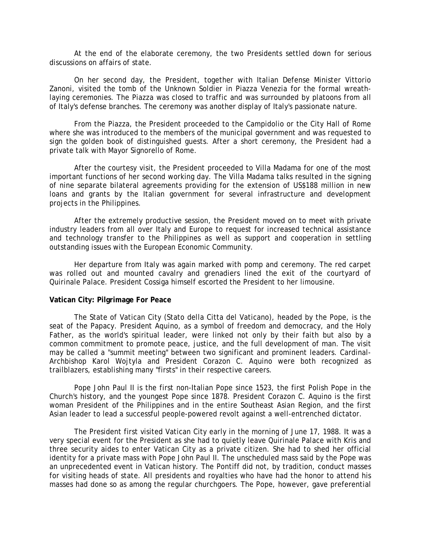At the end of the elaborate ceremony, the two Presidents settled down for serious discussions on affairs of state.

On her second day, the President, together with Italian Defense Minister Vittorio Zanoni, visited the tomb of the Unknown Soldier in Piazza Venezia for the formal wreathlaying ceremonies. The Piazza was closed to traffic and was surrounded by platoons from all of Italy's defense branches. The ceremony was another display of Italy's passionate nature.

From the Piazza, the President proceeded to the Campidolio or the City Hall of Rome where she was introduced to the members of the municipal government and was requested to sign the golden book of distinguished guests. After a short ceremony, the President had a private talk with Mayor Signorello of Rome.

After the courtesy visit, the President proceeded to Villa Madama for one of the most important functions of her second working day. The Villa Madama talks resulted in the signing of nine separate bilateral agreements providing for the extension of US\$188 million in new loans and grants by the Italian government for several infrastructure and development projects in the Philippines.

After the extremely productive session, the President moved on to meet with private industry leaders from all over Italy and Europe to request for increased technical assistance and technology transfer to the Philippines as well as support and cooperation in settling outstanding issues with the European Economic Community.

Her departure from Italy was again marked with pomp and ceremony. The red carpet was rolled out and mounted cavalry and grenadiers lined the exit of the courtyard of Quirinale Palace. President Cossiga himself escorted the President to her limousine.

#### **Vatican City: Pilgrimage For Peace**

The State of Vatican City (Stato della Citta del Vaticano), headed by the Pope, is the seat of the Papacy. President Aquino, as a symbol of freedom and democracy, and the Holy Father, as the world's spiritual leader, were linked not only by their faith but also by a common commitment to promote peace, justice, and the full development of man. The visit may be called a "summit meeting" between two significant and prominent leaders. Cardinal-Archbishop Karol Wojtyla and President Corazon C. Aquino were both recognized as trailblazers, establishing many "firsts" in their respective careers.

Pope John Paul II is the first non-Italian Pope since 1523, the first Polish Pope in the Church's history, and the youngest Pope since 1878. President Corazon C. Aquino is the first woman President of the Philippines and in the entire Southeast Asian Region, and the first Asian leader to lead a successful people-powered revolt against a well-entrenched dictator.

The President first visited Vatican City early in the morning of June 17, 1988. It was a very special event for the President as she had to quietly leave Quirinale Palace with Kris and three security aides to enter Vatican City as a private citizen. She had to shed her official identity for a private mass with Pope John Paul II. The unscheduled mass said by the Pope was an unprecedented event in Vatican history. The Pontiff did not, by tradition, conduct masses for visiting heads of state. All presidents and royalties who have had the honor to attend his masses had done so as among the regular churchgoers. The Pope, however, gave preferential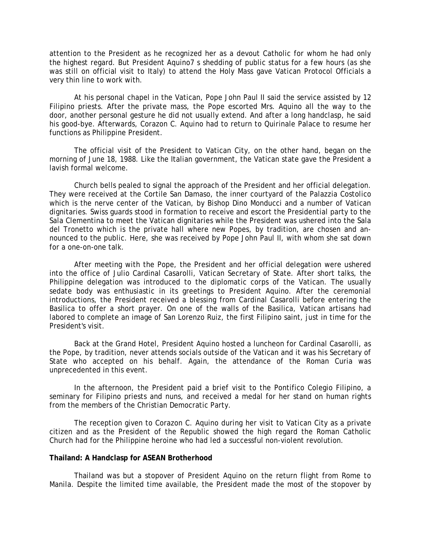attention to the President as he recognized her as a devout Catholic for whom he had only the highest regard. But President Aquino7 s shedding of public status for a few hours (as she was still on official visit to Italy) to attend the Holy Mass gave Vatican Protocol Officials a very thin line to work with.

At his personal chapel in the Vatican, Pope John Paul II said the service assisted by 12 Filipino priests. After the private mass, the Pope escorted Mrs. Aquino all the way to the door, another personal gesture he did not usually extend. And after a long handclasp, he said his good-bye. Afterwards, Corazon C. Aquino had to return to Quirinale Palace to resume her functions as Philippine President.

The official visit of the President to Vatican City, on the other hand, began on the morning of June 18, 1988. Like the Italian government, the Vatican state gave the President a lavish formal welcome.

Church bells pealed to signal the approach of the President and her official delegation. They were received at the Cortile San Damaso, the inner courtyard of the Palazzia Costolico which is the nerve center of the Vatican, by Bishop Dino Monducci and a number of Vatican dignitaries. Swiss guards stood in formation to receive and escort the Presidential party to the Sala Clementina to meet the Vatican dignitaries while the President was ushered into the Sala del Tronetto which is the private hall where new Popes, by tradition, are chosen and announced to the public. Here, she was received by Pope John Paul II, with whom she sat down for a one-on-one talk.

After meeting with the Pope, the President and her official delegation were ushered into the office of Julio Cardinal Casarolli, Vatican Secretary of State. After short talks, the Philippine delegation was introduced to the diplomatic corps of the Vatican. The usually sedate body was enthusiastic in its greetings to President Aquino. After the ceremonial introductions, the President received a blessing from Cardinal Casarolli before entering the Basilica to offer a short prayer. On one of the walls of the Basilica, Vatican artisans had labored to complete an image of San Lorenzo Ruiz, the first Filipino saint, just in time for the President's visit.

Back at the Grand Hotel, President Aquino hosted a luncheon for Cardinal Casarolli, as the Pope, by tradition, never attends socials outside of the Vatican and it was his Secretary of State who accepted on his behalf. Again, the attendance of the Roman Curia was unprecedented in this event.

In the afternoon, the President paid a brief visit to the Pontifico Colegio Filipino, a seminary for Filipino priests and nuns, and received a medal for her stand on human rights from the members of the Christian Democratic Party.

The reception given to Corazon C. Aquino during her visit to Vatican City as a private citizen and as the President of the Republic showed the high regard the Roman Catholic Church had for the Philippine heroine who had led a successful non-violent revolution.

#### **Thailand: A Handclasp for ASEAN Brotherhood**

Thailand was but a stopover of President Aquino on the return flight from Rome to Manila. Despite the limited time available, the President made the most of the stopover by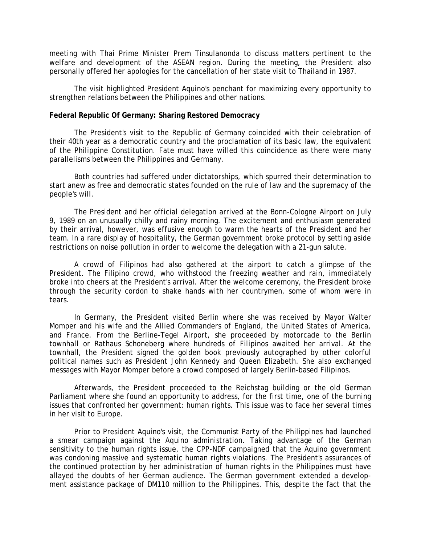meeting with Thai Prime Minister Prem Tinsulanonda to discuss matters pertinent to the welfare and development of the ASEAN region. During the meeting, the President also personally offered her apologies for the cancellation of her state visit to Thailand in 1987.

The visit highlighted President Aquino's penchant for maximizing every opportunity to strengthen relations between the Philippines and other nations.

#### **Federal Republic Of Germany: Sharing Restored Democracy**

The President's visit to the Republic of Germany coincided with their celebration of their 40th year as a democratic country and the proclamation of its basic law, the equivalent of the Philippine Constitution. Fate must have willed this coincidence as there were many parallelisms between the Philippines and Germany.

Both countries had suffered under dictatorships, which spurred their determination to start anew as free and democratic states founded on the rule of law and the supremacy of the people's will.

The President and her official delegation arrived at the Bonn-Cologne Airport on July 9, 1989 on an unusually chilly and rainy morning. The excitement and enthusiasm generated by their arrival, however, was effusive enough to warm the hearts of the President and her team. In a rare display of hospitality, the German government broke protocol by setting aside restrictions on noise pollution in order to welcome the delegation with a 21-gun salute.

A crowd of Filipinos had also gathered at the airport to catch a glimpse of the President. The Filipino crowd, who withstood the freezing weather and rain, immediately broke into cheers at the President's arrival. After the welcome ceremony, the President broke through the security cordon to shake hands with her countrymen, some of whom were in tears.

In Germany, the President visited Berlin where she was received by Mayor Walter Momper and his wife and the Allied Commanders of England, the United States of America, and France. From the Berline-Tegel Airport, she proceeded by motorcade to the Berlin townhall or Rathaus Schoneberg where hundreds of Filipinos awaited her arrival. At the townhall, the President signed the golden book previously autographed by other colorful political names such as President John Kennedy and Queen Elizabeth. She also exchanged messages with Mayor Momper before a crowd composed of largely Berlin-based Filipinos.

Afterwards, the President proceeded to the Reichstag building or the old German Parliament where she found an opportunity to address, for the first time, one of the burning issues that confronted her government: human rights. This issue was to face her several times in her visit to Europe.

Prior to President Aquino's visit, the Communist Party of the Philippines had launched a smear campaign against the Aquino administration. Taking advantage of the German sensitivity to the human rights issue, the CPP-NDF campaigned that the Aquino government was condoning massive and systematic human rights violations. The President's assurances of the continued protection by her administration of human rights in the Philippines must have allayed the doubts of her German audience. The German government extended a development assistance package of DM110 million to the Philippines. This, despite the fact that the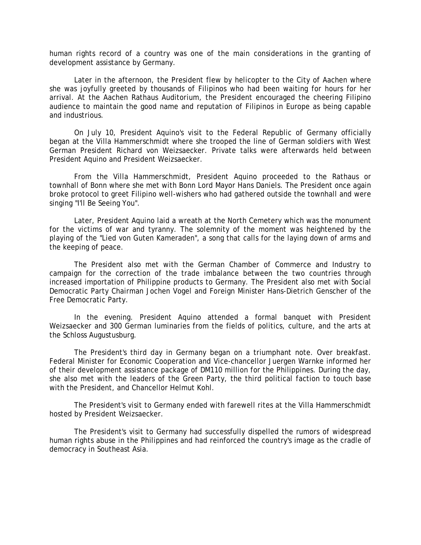human rights record of a country was one of the main considerations in the granting of development assistance by Germany.

Later in the afternoon, the President flew by helicopter to the City of Aachen where she was joyfully greeted by thousands of Filipinos who had been waiting for hours for her arrival. At the Aachen Rathaus Auditorium, the President encouraged the cheering Filipino audience to maintain the good name and reputation of Filipinos in Europe as being capable and industrious.

On July 10, President Aquino's visit to the Federal Republic of Germany officially began at the Villa Hammerschmidt where she trooped the line of German soldiers with West German President Richard von Weizsaecker. Private talks were afterwards held between President Aquino and President Weizsaecker.

From the Villa Hammerschmidt, President Aquino proceeded to the Rathaus or townhall of Bonn where she met with Bonn Lord Mayor Hans Daniels. The President once again broke protocol to greet Filipino well-wishers who had gathered outside the townhall and were singing "I'll Be Seeing You".

Later, President Aquino laid a wreath at the North Cemetery which was the monument for the victims of war and tyranny. The solemnity of the moment was heightened by the playing of the "Lied von Guten Kameraden", a song that calls for the laying down of arms and the keeping of peace.

The President also met with the German Chamber of Commerce and Industry to campaign for the correction of the trade imbalance between the two countries through increased importation of Philippine products to Germany. The President also met with Social Democratic Party Chairman Jochen Vogel and Foreign Minister Hans-Dietrich Genscher of the Free Democratic Party.

In the evening. President Aquino attended a formal banquet with President Weizsaecker and 300 German luminaries from the fields of politics, culture, and the arts at the Schloss Augustusburg.

The President's third day in Germany began on a triumphant note. Over breakfast. Federal Minister for Economic Cooperation and Vice-chancellor Juergen Warnke informed her of their development assistance package of DM110 million for the Philippines. During the day, she also met with the leaders of the Green Party, the third political faction to touch base with the President, and Chancellor Helmut Kohl.

The President's visit to Germany ended with farewell rites at the Villa Hammerschmidt hosted by President Weizsaecker.

The President's visit to Germany had successfully dispelled the rumors of widespread human rights abuse in the Philippines and had reinforced the country's image as the cradle of democracy in Southeast Asia.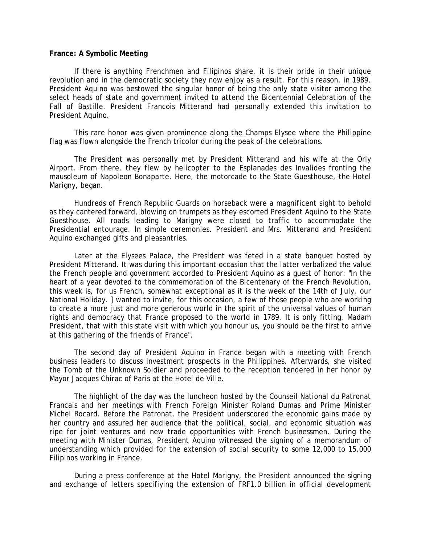#### **France: A Symbolic Meeting**

If there is anything Frenchmen and Filipinos share, it is their pride in their unique revolution and in the democratic society they now enjoy as a result. For this reason, in 1989, President Aquino was bestowed the singular honor of being the only state visitor among the select heads of state and government invited to attend the Bicentennial Celebration of the Fall of Bastille. President Francois Mitterand had personally extended this invitation to President Aquino.

This rare honor was given prominence along the Champs Elysee where the Philippine flag was flown alongside the French tricolor during the peak of the celebrations.

The President was personally met by President Mitterand and his wife at the Orly Airport. From there, they flew by helicopter to the Esplanades des Invalides fronting the mausoleum of Napoleon Bonaparte. Here, the motorcade to the State Guesthouse, the Hotel Marigny, began.

Hundreds of French Republic Guards on horseback were a magnificent sight to behold as they cantered forward, blowing on trumpets as they escorted President Aquino to the State Guesthouse. All roads leading to Marigny were closed to traffic to accommodate the Presidential entourage. In simple ceremonies. President and Mrs. Mitterand and President Aquino exchanged gifts and pleasantries.

Later at the Elysees Palace, the President was feted in a state banquet hosted by President Mitterand. It was during this important occasion that the latter verbalized the value the French people and government accorded to President Aquino as a guest of honor: "In the heart of a year devoted to the commemoration of the Bicentenary of the French Revolution, this week is, for us French, somewhat exceptional as it is the week of the 14th of July, our National Holiday. ] wanted to invite, for this occasion, a few of those people who are working to create a more just and more generous world in the spirit of the universal values of human rights and democracy that France proposed to the world in 1789. It is only fitting. Madam President, that with this state visit with which you honour us, you should be the first to arrive at this gathering of the friends of France".

The second day of President Aquino in France began with a meeting with French business leaders to discuss investment prospects in the Philippines. Afterwards, she visited the Tomb of the Unknown Soldier and proceeded to the reception tendered in her honor by Mayor Jacques Chirac of Paris at the Hotel de Ville.

The highlight of the day was the luncheon hosted by the Counseil National du Patronat Francais and her meetings with French Foreign Minister Roland Dumas and Prime Minister Michel Rocard. Before the Patronat, the President underscored the economic gains made by her country and assured her audience that the political, social, and economic situation was ripe for joint ventures and new trade opportunities with French businessmen. During the meeting with Minister Dumas, President Aquino witnessed the signing of a memorandum of understanding which provided for the extension of social security to some 12,000 to 15,000 Filipinos working in France.

During a press conference at the Hotel Marigny, the President announced the signing and exchange of letters specifiying the extension of FRF1.0 billion in official development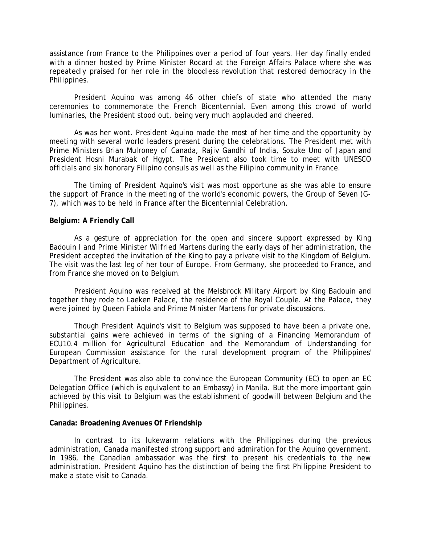assistance from France to the Philippines over a period of four years. Her day finally ended with a dinner hosted by Prime Minister Rocard at the Foreign Affairs Palace where she was repeatedly praised for her role in the bloodless revolution that restored democracy in the Philippines.

President Aquino was among 46 other chiefs of state who attended the many ceremonies to commemorate the French Bicentennial. Even among this crowd of world luminaries, the President stood out, being very much applauded and cheered.

As was her wont. President Aquino made the most of her time and the opportunity by meeting with several world leaders present during the celebrations. The President met with Prime Ministers Brian Mulroney of Canada, Rajiv Gandhi of India, Sosuke Uno of Japan and President Hosni Murabak of Hgypt. The President also took time to meet with UNESCO officials and six honorary Filipino consuls as well as the Filipino community in France.

The timing of President Aquino's visit was most opportune as she was able to ensure the support of France in the meeting of the world's economic powers, the Group of Seven (G-7), which was to be held in France after the Bicentennial Celebration.

#### **Belgium: A Friendly Call**

As a gesture of appreciation for the open and sincere support expressed by King Badouin I and Prime Minister Wilfried Martens during the early days of her administration, the President accepted the invitation of the King to pay a private visit to the Kingdom of Belgium. The visit was the last leg of her tour of Europe. From Germany, she proceeded to France, and from France she moved on to Belgium.

President Aquino was received at the Melsbrock Military Airport by King Badouin and together they rode to Laeken Palace, the residence of the Royal Couple. At the Palace, they were joined by Queen Fabiola and Prime Minister Martens for private discussions.

Though President Aquino's visit to Belgium was supposed to have been a private one, substantial gains were achieved in terms of the signing of a Financing Memorandum of ECU10.4 million for Agricultural Education and the Memorandum of Understanding for European Commission assistance for the rural development program of the Philippines' Department of Agriculture.

The President was also able to convince the European Community (EC) to open an EC Delegation Office (which is equivalent to an Embassy) in Manila. But the more important gain achieved by this visit to Belgium was the establishment of goodwill between Belgium and the Philippines.

#### **Canada: Broadening Avenues Of Friendship**

In contrast to its lukewarm relations with the Philippines during the previous administration, Canada manifested strong support and admiration for the Aquino government. In 1986, the Canadian ambassador was the first to present his credentials to the new administration. President Aquino has the distinction of being the first Philippine President to make a state visit to Canada.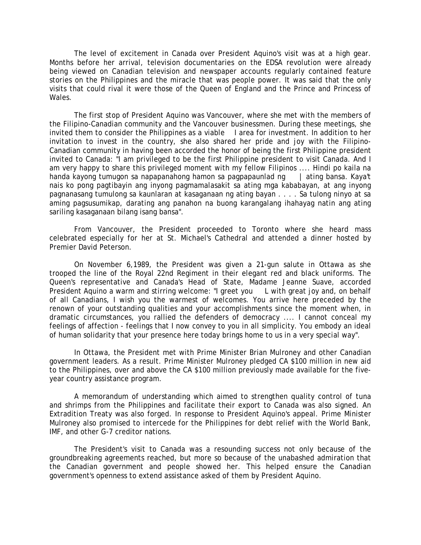The level of excitement in Canada over President Aquino's visit was at a high gear. Months before her arrival, television documentaries on the EDSA revolution were already being viewed on Canadian television and newspaper accounts regularly contained feature stories on the Philippines and the miracle that was people power. It was said that the only visits that could rival it were those of the Queen of England and the Prince and Princess of Wales.

The first stop of President Aquino was Vancouver, where she met with the members of the Filipino-Canadian community and the Vancouver businessmen. During these meetings, she invited them to consider the Philippines as a viable I area for investment. In addition to her invitation to invest in the country, she also shared her pride and joy with the Filipino-Canadian community in having been accorded the honor of being the first Philippine president invited to Canada: "I am privileged to be the first Philippine president to visit Canada. And I am very happy to share this privileged moment with my fellow Filipinos .... Hindi po kaila na handa kayong tumugon sa napapanahong hamon sa pagpapaunlad ng | ating bansa. Kaya't nais ko pong pagtibayin ang inyong pagmamalasakit sa ating mga kababayan, at ang inyong pagnanasang tumulong sa kaunlaran at kasaganaan ng ating bayan . . . . Sa tulong ninyo at sa aming pagsusumikap, darating ang panahon na buong karangalang ihahayag natin ang ating sariling kasaganaan bilang isang bansa".

From Vancouver, the President proceeded to Toronto where she heard mass celebrated especially for her at St. Michael's Cathedral and attended a dinner hosted by Premier David Peterson.

On November 6,1989, the President was given a 21-gun salute in Ottawa as she trooped the line of the Royal 22nd Regiment in their elegant red and black uniforms. The Queen's representative and Canada's Head of State, Madame Jeanne Suave, accorded President Aquino a warm and stirring welcome: "I greet you L with great joy and, on behalf of all Canadians, I wish you the warmest of welcomes. You arrive here preceded by the renown of your outstanding qualities and your accomplishments since the moment when, in dramatic circumstances, you rallied the defenders of democracy .... I cannot conceal my feelings of affection - feelings that I now convey to you in all simplicity. You embody an ideal of human solidarity that your presence here today brings home to us in a very special way".

In Ottawa, the President met with Prime Minister Brian Mulroney and other Canadian government leaders. As a result. Prime Minister Mulroney pledged CA \$100 million in new aid to the Philippines, over and above the CA \$100 million previously made available for the fiveyear country assistance program.

A memorandum of understanding which aimed to strengthen quality control of tuna and shrimps from the Philippines and facilitate their export to Canada was also signed. An Extradition Treaty was also forged. In response to President Aquino's appeal. Prime Minister Mulroney also promised to intercede for the Philippines for debt relief with the World Bank, IMF, and other G-7 creditor nations.

The President's visit to Canada was a resounding success not only because of the groundbreaking agreements reached, but more so because of the unabashed admiration that the Canadian government and people showed her. This helped ensure the Canadian government's openness to extend assistance asked of them by President Aquino.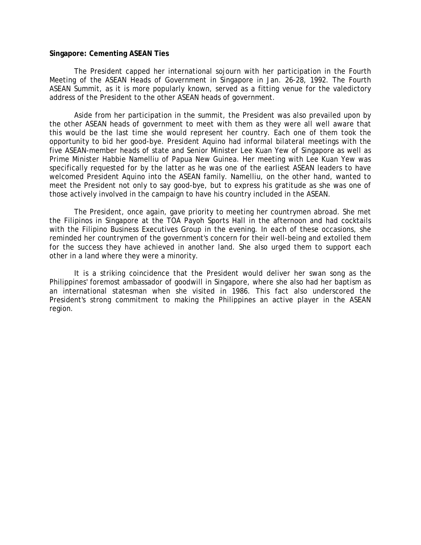#### **Singapore: Cementing ASEAN Ties**

The President capped her international sojourn with her participation in the Fourth Meeting of the ASEAN Heads of Government in Singapore in Jan. 26-28, 1992. The Fourth ASEAN Summit, as it is more popularly known, served as a fitting venue for the valedictory address of the President to the other ASEAN heads of government.

Aside from her participation in the summit, the President was also prevailed upon by the other ASEAN heads of government to meet with them as they were all well aware that this would be the last time she would represent her country. Each one of them took the opportunity to bid her good-bye. President Aquino had informal bilateral meetings with the five ASEAN-member heads of state and Senior Minister Lee Kuan Yew of Singapore as well as Prime Minister Habbie Namelliu of Papua New Guinea. Her meeting with Lee Kuan Yew was specifically requested for by the latter as he was one of the earliest ASEAN leaders to have welcomed President Aquino into the ASEAN family. Namelliu, on the other hand, wanted to meet the President not only to say good-bye, but to express his gratitude as she was one of those actively involved in the campaign to have his country included in the ASEAN.

The President, once again, gave priority to meeting her countrymen abroad. She met the Filipinos in Singapore at the TOA Payoh Sports Hall in the afternoon and had cocktails with the Filipino Business Executives Group in the evening. In each of these occasions, she reminded her countrymen of the government's concern for their well-being and extolled them for the success they have achieved in another land. She also urged them to support each other in a land where they were a minority.

It is a striking coincidence that the President would deliver her swan song as the Philippines' foremost ambassador of goodwill in Singapore, where she also had her baptism as an international statesman when she visited in 1986. This fact also underscored the President's strong commitment to making the Philippines an active player in the ASEAN region.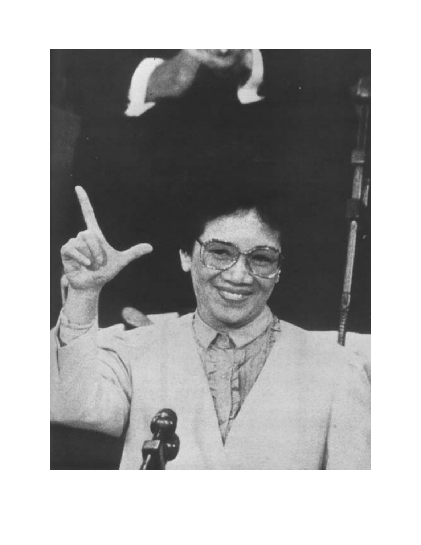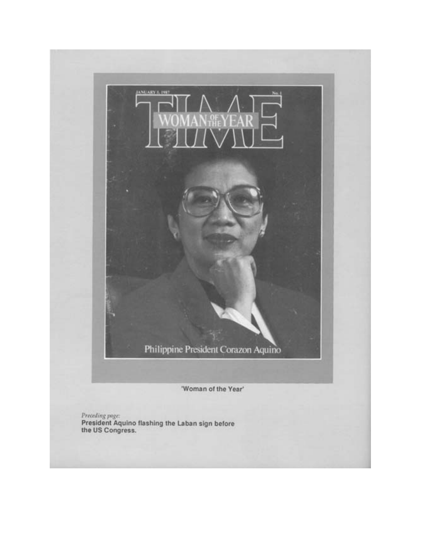

'Woman of the Year'

**Preceding page:**<br>**President Aquino flashing the Laban sign before**<br>the US Congress.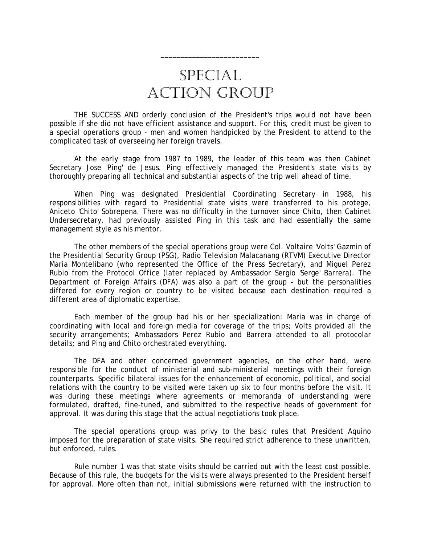### SPECIAL ACTION GROUP

\_\_\_\_\_\_\_\_\_\_\_\_\_\_\_\_\_\_\_\_\_\_\_\_\_

THE SUCCESS AND orderly conclusion of the President's trips would not have been possible if she did not have efficient assistance and support. For this, credit must be given to a special operations group - men and women handpicked by the President to attend to the complicated task of overseeing her foreign travels.

At the early stage from 1987 to 1989, the leader of this team was then Cabinet Secretary Jose 'Ping' de Jesus. Ping effectively managed the President's state visits by thoroughly preparing all technical and substantial aspects of the trip well ahead of time.

When Ping was designated Presidential Coordinating Secretary in 1988, his responsibilities with regard to Presidential state visits were transferred to his protege, Aniceto 'Chito' Sobrepena. There was no difficulty in the turnover since Chito, then Cabinet Undersecretary, had previously assisted Ping in this task and had essentially the same management style as his mentor.

The other members of the special operations group were Col. Voltaire 'Volts' Gazmin of the Presidential Security Group (PSG), Radio Television Malacanang (RTVM) Executive Director Maria Montelibano (who represented the Office of the Press Secretary), and Miguel Perez Rubio from the Protocol Office (later replaced by Ambassador Sergio 'Serge' Barrera). The Department of Foreign Affairs (DFA) was also a part of the group - but the personalities differed for every region or country to be visited because each destination required a different area of diplomatic expertise.

Each member of the group had his or her specialization: Maria was in charge of coordinating with local and foreign media for coverage of the trips; Volts provided all the security arrangements; Ambassadors Perez Rubio and Barrera attended to all protocolar details; and Ping and Chito orchestrated everything.

The DFA and other concerned government agencies, on the other hand, were responsible for the conduct of ministerial and sub-ministerial meetings with their foreign counterparts. Specific bilateral issues for the enhancement of economic, political, and social relations with the country to be visited were taken up six to four months before the visit. It was during these meetings where agreements or memoranda of understanding were formulated, drafted, fine-tuned, and submitted to the respective heads of government for approval. It was during this stage that the actual negotiations took place.

The special operations group was privy to the basic rules that President Aquino imposed for the preparation of state visits. She required strict adherence to these unwritten, but enforced, rules.

Rule number 1 was that state visits should be carried out with the least cost possible. Because of this rule, the budgets for the visits were always presented to the President herself for approval. More often than not, initial submissions were returned with the instruction to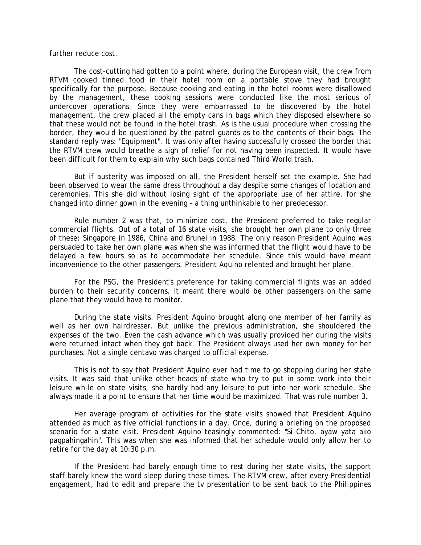further reduce cost.

The cost-cutting had gotten to a point where, during the European visit, the crew from RTVM cooked tinned food in their hotel room on a portable stove they had brought specifically for the purpose. Because cooking and eating in the hotel rooms were disallowed by the management, these cooking sessions were conducted like the most serious of undercover operations. Since they were embarrassed to be discovered by the hotel management, the crew placed all the empty cans in bags which they disposed elsewhere so that these would not be found in the hotel trash. As is the usual procedure when crossing the border, they would be questioned by the patrol guards as to the contents of their bags. The standard reply was: "Equipment". It was only after having successfully crossed the border that the RTVM crew would breathe a sigh of relief for not having been inspected. It would have been difficult for them to explain why such bags contained Third World trash.

But if austerity was imposed on all, the President herself set the example. She had been observed to wear the same dress throughout a day despite some changes of location and ceremonies. This she did without losing sight of the appropriate use of her attire, for she changed into dinner gown in the evening - a thing unthinkable to her predecessor.

Rule number 2 was that, to minimize cost, the President preferred to take regular commercial flights. Out of a total of 16 state visits, she brought her own plane to only three of these: Singapore in 1986, China and Brunei in 1988. The only reason President Aquino was persuaded to take her own plane was when she was informed that the flight would have to be delayed a few hours so as to accommodate her schedule. Since this would have meant inconvenience to the other passengers. President Aquino relented and brought her plane.

For the PSG, the President's preference for taking commercial flights was an added burden to their security concerns. It meant there would be other passengers on the same plane that they would have to monitor.

During the state visits. President Aquino brought along one member of her family as well as her own hairdresser. But unlike the previous administration, she shouldered the expenses of the two. Even the cash advance which was usually provided her during the visits were returned intact when they got back. The President always used her own money for her purchases. Not a single centavo was charged to official expense.

This is not to say that President Aquino ever had time to go shopping during her state visits. It was said that unlike other heads of state who try to put in some work into their leisure while on state visits, she hardly had any leisure to put into her work schedule. She always made it a point to ensure that her time would be maximized. That was rule number 3.

Her average program of activities for the state visits showed that President Aquino attended as much as five official functions in a day. Once, during a briefing on the proposed scenario for a state visit. President Aquino teasingly commented: "Si Chito, ayaw yata ako pagpahingahin". This was when she was informed that her schedule would only allow her to retire for the day at 10:30 p.m.

If the President had barely enough time to rest during her state visits, the support staff barely knew the word sleep during these times. The RTVM crew, after every Presidential engagement, had to edit and prepare the tv presentation to be sent back to the Philippines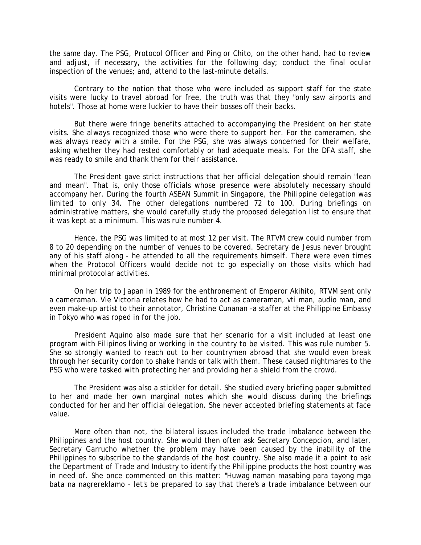the same day. The PSG, Protocol Officer and Ping or Chito, on the other hand, had to review and adjust, if necessary, the activities for the following day; conduct the final ocular inspection of the venues; and, attend to the last-minute details.

Contrary to the notion that those who were included as support staff for the state visits were lucky to travel abroad for free, the truth was that they "only saw airports and hotels". Those at home were luckier to have their bosses off their backs.

But there were fringe benefits attached to accompanying the President on her state visits. She always recognized those who were there to support her. For the cameramen, she was always ready with a smile. For the PSG, she was always concerned for their welfare, asking whether they had rested comfortably or had adequate meals. For the DFA staff, she was ready to smile and thank them for their assistance.

The President gave strict instructions that her official delegation should remain "lean and mean". That is, only those officials whose presence were absolutely necessary should accompany her. During the fourth ASEAN Summit in Singapore, the Philippine delegation was limited to only 34. The other delegations numbered 72 to 100. During briefings on administrative matters, she would carefully study the proposed delegation list to ensure that it was kept at a minimum. This was rule number 4.

Hence, the PSG was limited to at most 12 per visit. The RTVM crew could number from 8 to 20 depending on the number of venues to be covered. Secretary de Jesus never brought any of his staff along - he attended to all the requirements himself. There were even times when the Protocol Officers would decide not tc go especially on those visits which had minimal protocolar activities.

On her trip to Japan in 1989 for the enthronement of Emperor Akihito, RTVM sent only a cameraman. Vie Victoria relates how he had to act as cameraman, vti man, audio man, and even make-up artist to their annotator, Christine Cunanan -a staffer at the Philippine Embassy in Tokyo who was roped in for the job.

President Aquino also made sure that her scenario for a visit included at least one program with Filipinos living or working in the country to be visited. This was rule number 5. She so strongly wanted to reach out to her countrymen abroad that she would even break through her security cordon to shake hands or talk with them. These caused nightmares to the PSG who were tasked with protecting her and providing her a shield from the crowd.

The President was also a stickler for detail. She studied every briefing paper submitted to her and made her own marginal notes which she would discuss during the briefings conducted for her and her official delegation. She never accepted briefing statements at face value.

More often than not, the bilateral issues included the trade imbalance between the Philippines and the host country. She would then often ask Secretary Concepcion, and later. Secretary Garrucho whether the problem may have been caused by the inability of the Philippines to subscribe to the standards of the host country. She also made it a point to ask the Department of Trade and Industry to identify the Philippine products the host country was in need of. She once commented on this matter: "Huwag naman masabing para tayong mga bata na nagrereklamo - let's be prepared to say that there's a trade imbalance between our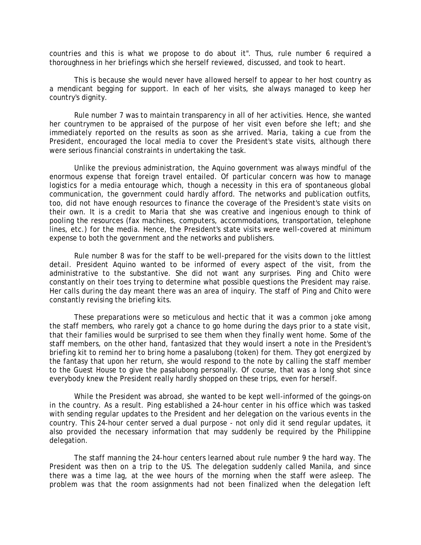countries and this is what we propose to do about it". Thus, rule number 6 required a thoroughness in her briefings which she herself reviewed, discussed, and took to heart.

This is because she would never have allowed herself to appear to her host country as a mendicant begging for support. In each of her visits, she always managed to keep her country's dignity.

Rule number 7 was to maintain transparency in all of her activities. Hence, she wanted her countrymen to be appraised of the purpose of her visit even before she left; and she immediately reported on the results as soon as she arrived. Maria, taking a cue from the President, encouraged the local media to cover the President's state visits, although there were serious financial constraints in undertaking the task.

Unlike the previous administration, the Aquino government was always mindful of the enormous expense that foreign travel entailed. Of particular concern was how to manage logistics for a media entourage which, though a necessity in this era of spontaneous global communication, the government could hardly afford. The networks and publication outfits, too, did not have enough resources to finance the coverage of the President's state visits on their own. It is a credit to Maria that she was creative and ingenious enough to think of pooling the resources (fax machines, computers, accommodations, transportation, telephone lines, etc.) for the media. Hence, the President's state visits were well-covered at minimum expense to both the government and the networks and publishers.

Rule number 8 was for the staff to be well-prepared for the visits down to the littlest detail. President Aquino wanted to be informed of every aspect of the visit, from the administrative to the substantive. She did not want any surprises. Ping and Chito were constantly on their toes trying to determine what possible questions the President may raise. Her calls during the day meant there was an area of inquiry. The staff of Ping and Chito were constantly revising the briefing kits.

These preparations were so meticulous and hectic that it was a common joke among the staff members, who rarely got a chance to go home during the days prior to a state visit, that their families would be surprised to see them when they finally went home. Some of the staff members, on the other hand, fantasized that they would insert a note in the President's briefing kit to remind her to bring home a pasalubong (token) for them. They got energized by the fantasy that upon her return, she would respond to the note by calling the staff member to the Guest House to give the pasalubong personally. Of course, that was a long shot since everybody knew the President really hardly shopped on these trips, even for herself.

While the President was abroad, she wanted to be kept well-informed of the goings-on in the country. As a result. Ping established a 24-hour center in his office which was tasked with sending regular updates to the President and her delegation on the various events in the country. This 24-hour center served a dual purpose - not only did it send regular updates, it also provided the necessary information that may suddenly be required by the Philippine delegation.

The staff manning the 24-hour centers learned about rule number 9 the hard way. The President was then on a trip to the US. The delegation suddenly called Manila, and since there was a time lag, at the wee hours of the morning when the staff were asleep. The problem was that the room assignments had not been finalized when the delegation left